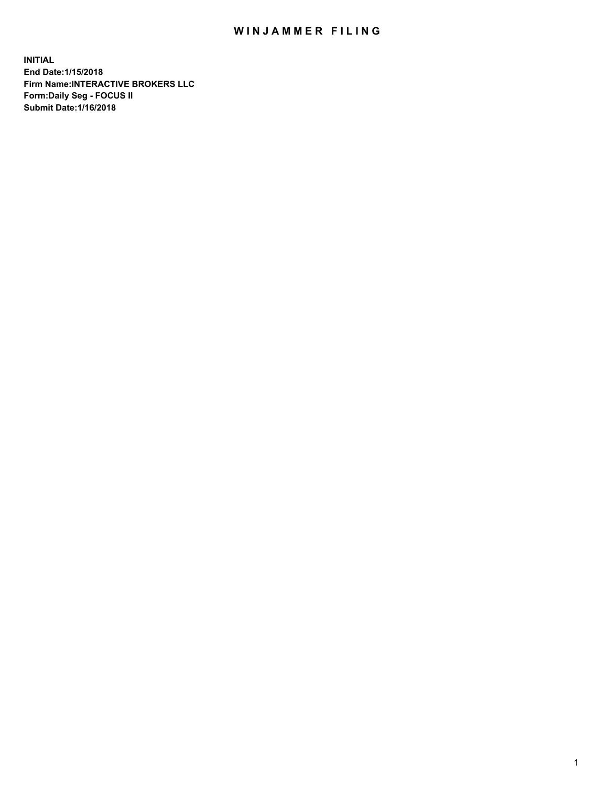## WIN JAMMER FILING

**INITIAL End Date:1/15/2018 Firm Name:INTERACTIVE BROKERS LLC Form:Daily Seg - FOCUS II Submit Date:1/16/2018**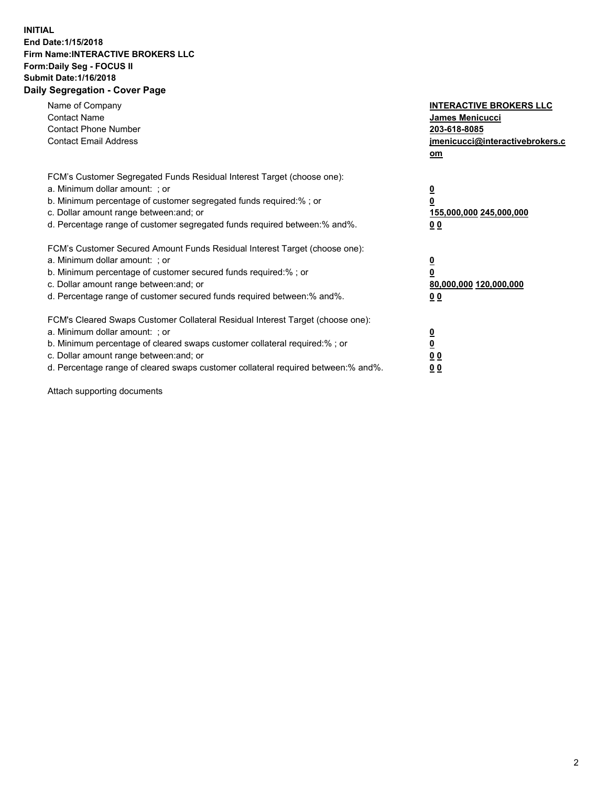## **INITIAL End Date:1/15/2018 Firm Name:INTERACTIVE BROKERS LLC Form:Daily Seg - FOCUS II Submit Date:1/16/2018 Daily Segregation - Cover Page**

| Name of Company<br><b>Contact Name</b><br><b>Contact Phone Number</b>                                                                                                                                                                                                                                                          | <b>INTERACTIVE BROKERS LLC</b><br><b>James Menicucci</b><br>203-618-8085                        |  |
|--------------------------------------------------------------------------------------------------------------------------------------------------------------------------------------------------------------------------------------------------------------------------------------------------------------------------------|-------------------------------------------------------------------------------------------------|--|
| <b>Contact Email Address</b>                                                                                                                                                                                                                                                                                                   | jmenicucci@interactivebrokers.c<br>om                                                           |  |
| FCM's Customer Segregated Funds Residual Interest Target (choose one):<br>a. Minimum dollar amount: ; or<br>b. Minimum percentage of customer segregated funds required:% ; or<br>c. Dollar amount range between: and; or<br>d. Percentage range of customer segregated funds required between:% and%.                         | $\overline{\mathbf{0}}$<br>$\overline{\mathbf{0}}$<br>155,000,000 245,000,000<br>0 <sub>0</sub> |  |
| FCM's Customer Secured Amount Funds Residual Interest Target (choose one):<br>a. Minimum dollar amount: ; or<br>b. Minimum percentage of customer secured funds required:%; or<br>c. Dollar amount range between: and; or<br>d. Percentage range of customer secured funds required between: % and %.                          | $\overline{\mathbf{0}}$<br>$\overline{\mathbf{0}}$<br>80,000,000 120,000,000<br>0 <sub>0</sub>  |  |
| FCM's Cleared Swaps Customer Collateral Residual Interest Target (choose one):<br>a. Minimum dollar amount: ; or<br>b. Minimum percentage of cleared swaps customer collateral required:% ; or<br>c. Dollar amount range between: and; or<br>d. Percentage range of cleared swaps customer collateral required between:% and%. | $\overline{\mathbf{0}}$<br>$\underline{\mathbf{0}}$<br>0 <sub>0</sub><br>0 <sup>0</sup>         |  |

Attach supporting documents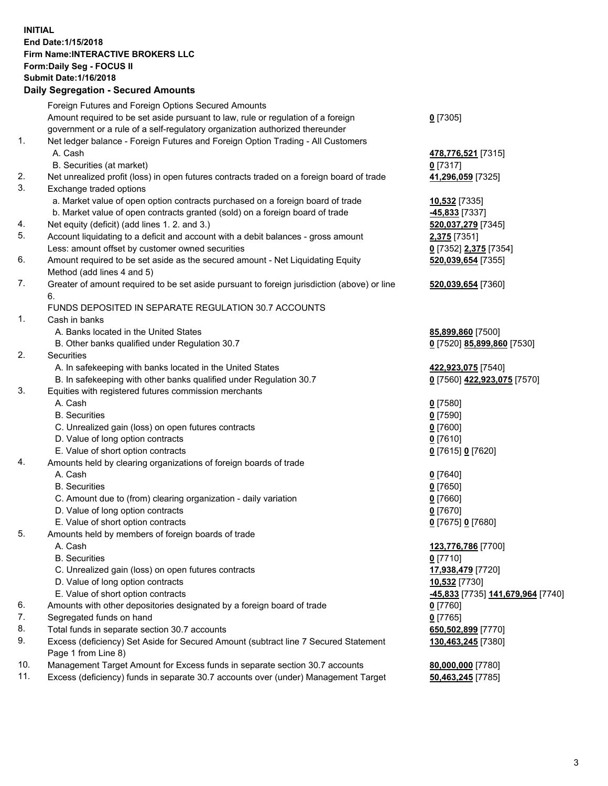## **INITIAL End Date:1/15/2018 Firm Name:INTERACTIVE BROKERS LLC Form:Daily Seg - FOCUS II Submit Date:1/16/2018 Daily Segregation - Secured Amounts**

| Daily Jegregation - Jeculed Aniounts                                                        |                                                                                    |
|---------------------------------------------------------------------------------------------|------------------------------------------------------------------------------------|
| Foreign Futures and Foreign Options Secured Amounts                                         |                                                                                    |
| Amount required to be set aside pursuant to law, rule or regulation of a foreign            | $0$ [7305]                                                                         |
| government or a rule of a self-regulatory organization authorized thereunder                |                                                                                    |
| Net ledger balance - Foreign Futures and Foreign Option Trading - All Customers             |                                                                                    |
| A. Cash                                                                                     | 478,776,521 [7315]                                                                 |
| B. Securities (at market)                                                                   | 0 [7317]                                                                           |
| Net unrealized profit (loss) in open futures contracts traded on a foreign board of trade   | 41,296,059 [7325]                                                                  |
| Exchange traded options                                                                     |                                                                                    |
| a. Market value of open option contracts purchased on a foreign board of trade              | 10,532 [7335]                                                                      |
| b. Market value of open contracts granted (sold) on a foreign board of trade                | -45,833 [7337]                                                                     |
| Net equity (deficit) (add lines 1.2. and 3.)                                                | 520,037,279 [7345]                                                                 |
| Account liquidating to a deficit and account with a debit balances - gross amount           | 2,375 [7351]                                                                       |
| Less: amount offset by customer owned securities                                            | 0 [7352] 2,375 [7354]                                                              |
| Amount required to be set aside as the secured amount - Net Liquidating Equity              | 520,039,654 [7355]                                                                 |
| Method (add lines 4 and 5)                                                                  |                                                                                    |
| Greater of amount required to be set aside pursuant to foreign jurisdiction (above) or line | 520,039,654 [7360]                                                                 |
| 6.                                                                                          |                                                                                    |
| FUNDS DEPOSITED IN SEPARATE REGULATION 30.7 ACCOUNTS                                        |                                                                                    |
| Cash in banks                                                                               |                                                                                    |
| A. Banks located in the United States                                                       | 85,899,860 [7500]                                                                  |
| B. Other banks qualified under Regulation 30.7                                              | 0 [7520] 85,899,860 [7530]                                                         |
| Securities                                                                                  |                                                                                    |
| A. In safekeeping with banks located in the United States                                   | 422,923,075 [7540]                                                                 |
| B. In safekeeping with other banks qualified under Regulation 30.7                          | 0 [7560] 422,923,075 [7570]                                                        |
| Equities with registered futures commission merchants                                       |                                                                                    |
| A. Cash                                                                                     | $0$ [7580]                                                                         |
| <b>B.</b> Securities                                                                        | $0$ [7590]                                                                         |
| C. Unrealized gain (loss) on open futures contracts                                         | $0$ [7600]                                                                         |
| D. Value of long option contracts                                                           | $0$ [7610]                                                                         |
| E. Value of short option contracts                                                          | 0 [7615] 0 [7620]                                                                  |
| Amounts held by clearing organizations of foreign boards of trade                           |                                                                                    |
| A. Cash                                                                                     | $0$ [7640]                                                                         |
| <b>B.</b> Securities                                                                        | $0$ [7650]                                                                         |
| C. Amount due to (from) clearing organization - daily variation                             | $0$ [7660]                                                                         |
| D. Value of long option contracts                                                           | $0$ [7670]                                                                         |
| E. Value of short option contracts                                                          | 0 [7675] 0 [7680]                                                                  |
| Amounts held by members of foreign boards of trade                                          |                                                                                    |
| A. Cash                                                                                     | 123,776,786 [7700]                                                                 |
| <b>B.</b> Securities                                                                        | $0$ [7710]                                                                         |
| C. Unrealized gain (loss) on open futures contracts                                         | 17,938,479 [7720]                                                                  |
| D. Value of long option contracts                                                           | 10,532 [7730]                                                                      |
| E. Value of short option contracts                                                          | 45,833 [7735] 141,679,964 [7740]                                                   |
| Amounts with other depositories designated by a foreign board of trade                      | $0$ [7760]                                                                         |
| Segregated funds on hand                                                                    | $0$ [7765]                                                                         |
| Total funds in separate section 30.7 accounts                                               | 650,502,899 [7770]                                                                 |
| Excess (deficiency) Set Aside for Secured Amount (subtract line 7 Secured Statement         | 130,463,245 [7380]                                                                 |
| Page 1 from Line 8)                                                                         |                                                                                    |
| Management Target Amount for Excess funds in separate section 30.7 accounts                 | 80,000,000 [7780]                                                                  |
|                                                                                             | 50,463,245 [7785]                                                                  |
|                                                                                             | Excess (deficiency) funds in separate 30.7 accounts over (under) Management Target |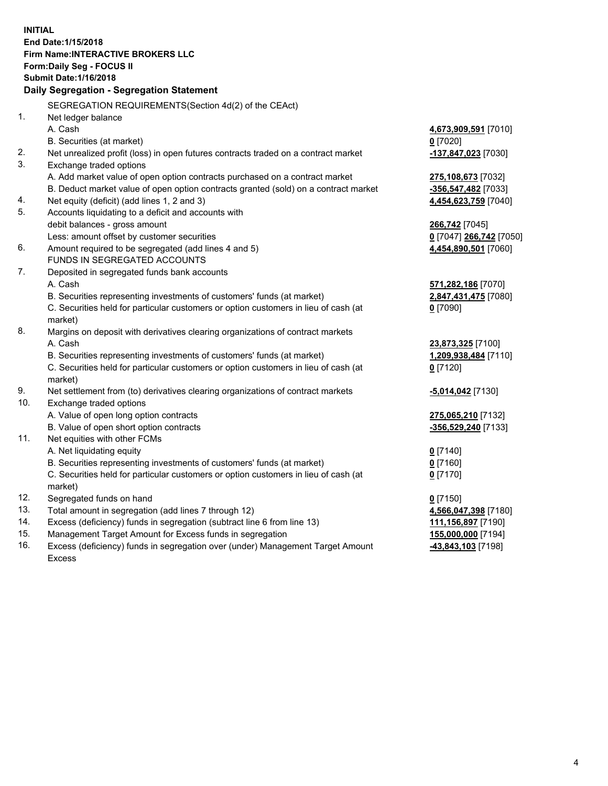**INITIAL End Date:1/15/2018 Firm Name:INTERACTIVE BROKERS LLC Form:Daily Seg - FOCUS II Submit Date:1/16/2018 Daily Segregation - Segregation Statement** SEGREGATION REQUIREMENTS(Section 4d(2) of the CEAct) 1. Net ledger balance A. Cash **4,673,909,591** [7010] B. Securities (at market) **0** [7020] 2. Net unrealized profit (loss) in open futures contracts traded on a contract market **-137,847,023** [7030] 3. Exchange traded options A. Add market value of open option contracts purchased on a contract market **275,108,673** [7032] B. Deduct market value of open option contracts granted (sold) on a contract market **-356,547,482** [7033] 4. Net equity (deficit) (add lines 1, 2 and 3) **4,454,623,759** [7040] 5. Accounts liquidating to a deficit and accounts with debit balances - gross amount **266,742** [7045] Less: amount offset by customer securities **0** [7047] **266,742** [7050] 6. Amount required to be segregated (add lines 4 and 5) **4,454,890,501** [7060] FUNDS IN SEGREGATED ACCOUNTS 7. Deposited in segregated funds bank accounts A. Cash **571,282,186** [7070] B. Securities representing investments of customers' funds (at market) **2,847,431,475** [7080] C. Securities held for particular customers or option customers in lieu of cash (at market) **0** [7090] 8. Margins on deposit with derivatives clearing organizations of contract markets A. Cash **23,873,325** [7100] B. Securities representing investments of customers' funds (at market) **1,209,938,484** [7110] C. Securities held for particular customers or option customers in lieu of cash (at market) **0** [7120] 9. Net settlement from (to) derivatives clearing organizations of contract markets **-5,014,042** [7130] 10. Exchange traded options A. Value of open long option contracts **275,065,210** [7132] B. Value of open short option contracts **-356,529,240** [7133] 11. Net equities with other FCMs A. Net liquidating equity **0** [7140] B. Securities representing investments of customers' funds (at market) **0** [7160] C. Securities held for particular customers or option customers in lieu of cash (at market) **0** [7170] 12. Segregated funds on hand **0** [7150] 13. Total amount in segregation (add lines 7 through 12) **4,566,047,398** [7180] 14. Excess (deficiency) funds in segregation (subtract line 6 from line 13) **111,156,897** [7190] 15. Management Target Amount for Excess funds in segregation **155,000,000** [7194] 16. Excess (deficiency) funds in segregation over (under) Management Target Amount **-43,843,103** [7198]

Excess